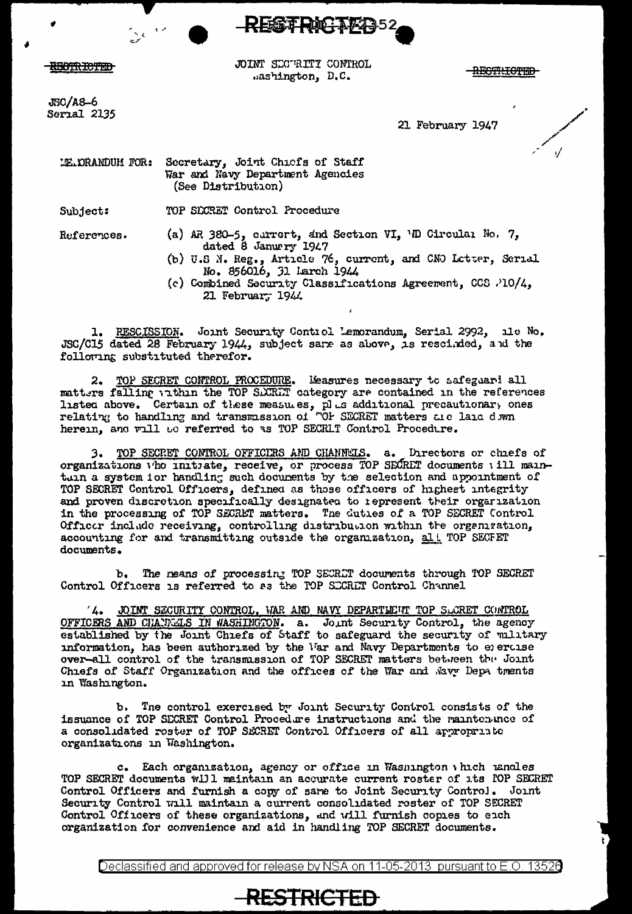

**HEOTRICTED** 

JSC/A8-6 Serial 2135 JOINT SECURITI CONTROL mashington, D.C.

**RESTRICTED** 

21 February 1947

LE DRANDUM FOR: Secretary, Joint Chicfs of Staff War and Navy Department Agencies (See Distribution)

TOP SECRET Control Procedure Subject:

References.

- (a) AR 380-5, currert, and Section VI, 'D Circulai No. 7, dated 8 January 1947
- (b) U.S N. Reg., Article 76, current, and CNO Letter, Serial No. 856016, 31 larch 1944
- (c) Combined Security Classifications Agreement, CCS .'10/4, 21 Februar, 1944

1. RESCISSION. Joint Security Control Lemorandum. Serial 2992, ile No. JSC/C15 dated 28 February 1944, subject sare as above, is rescinded, and the following substituted therefor.

2. TOP SECRET CONTROL PROCEDURE. Measures necessary to safeguari all matters falling within the TOP SACRET category are contained in the references listed above. Certain of these measures, plus additional precautionary ones<br>relating to handling and transmission of "OF SECRET matters are laid dwn herein, and will be referred to as TOP SECRLT Control Procedure.

3. TOP SECRET CONTROL OFFICIES AND CHANNELS. a. Directors or chiefs of organizations who initiate, receive, or process TOP SECRET documents will maintain a system ior handling such documents by the selection and appointment of TOP SECRET Control Officers, defined as those officers of highest integrity and proven discretion specifically designated to represent their organization in the processing of TOP SECRET matters. The duties of a TOP SECRET Control Officer include receiving, controlling distribution within the organization, accounting for and transmitting outside the organization, alt TOP SECFET documents.

The means of processing TOP SECRLT documents through TOP SECRET  $b_{\bullet}$ Control Officers is referred to as the TOP SECRET Control Channel

JOINT SECURITY CONTROL, WAR AND NAVY DEPARTLEUT TOP SLCRET CONTROL  $4.$ OFFICERS AND CHARGES IN WASHIMGTON. a. Joint Security Control, the agency established by the Joint Chiefs of Staff to safeguard the security of military information, has been authorized by the War and Navy Departments to exercise over-all control of the transmission of TOP SECRET matters between the Joint Chiefs of Staff Organization and the offices of the War and Navy Depa tments in Washington.

The control exercised by Joint Security Control consists of the ъ. issuance of TOP SECRET Control Procedure instructions and the maintenance of a consolidated roster of TOP SECRET Control Officers of all appropriate organizations in Washington.

c. Each organization, agency or office in Wasnington which usuales TOP SECRET documents will maintain an accurate current roster of its FOP SECRET Control Officers and furnish a copy of same to Joint Security Control. Joint Security Control will maintain a current consolidated roster of TOP SECRET Control Officers of these organizations, and will furnish copies to each organization for convenience and aid in handling TOP SECRET documents.

Declassified and approved for release by NSA on 11-05-2013 pursuant to E.O. 13526

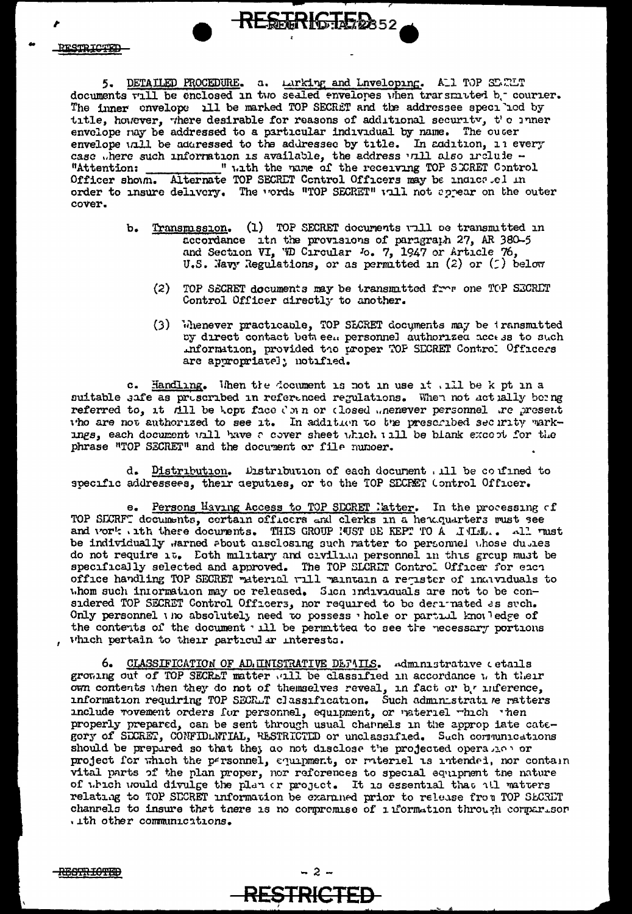5. DETAILED PROCEDURE. a. Larking and Lnveloping. ALI TOP SURIT documents will be enclosed in two sealed envelopes when transmitted b. courier. The inner envelope all be marked TOP SECRET and the addressee specilod by title, however, where desirable for reasons of additional security, t'c inner envelope nay be addressed to a particular individual by name. The cuter envelope unll be addressed to the addressed by title. In addition, in every case where such information is available, the address vill also include -" with the name of the receiving TOP SECRET Control "Attention: Officer shown. Alternate TOP SECRET Control Officers may be indicatel in order to insure delivery. The vords "TOP SECRET" will not appear on the outer cover.

RESTRIGTED 352

- b. Transmission. (1) TOP SECRET documents will be transmitted in accordance itn the provisions of paragraph 27, AR 380-5 and Section VI, 'iD Circular Jo. 7, 1947 or Article 76, U.S. Navy Regulations, or as permitted in  $(2)$  or  $(5)$  below
	- $(2)$ TOP SECRET documents may be transmitted from one TOP SECRET Control Officer directly to another.
	- (3) Whenever practicable, TOP SECRET documents may be iransmitted by direct contact between personnel authorized access to such information, provided the proper TOF SECRET Control Officers are appropriatel; notified.

Handling. When the document is not in use it will be k pt in a  $c_{\bullet}$ suitable safe as prescribed in referenced regulations. When not actually being referred to, it All be kept face C m n or closed menever personnel are present tho are not authorized to see it. In addition to the prescribed security markings, each document will have a cover sheet which will be blank except for the phrase "TOP SECRET" and the document or file numoer.

d. Distribution. Distribution of each document . ill be confined to specific addressees, their deputies, or to the TOP SECRET (ontrol Officer.

e. Persons Having Access to TOP SECRET latter. In the processing of TOP SECRFT documents, certain officers and clerks in a hendquarters must see and vork . ith these documents. THIS GROUP NUST BE KEPT TO A JALIAL.. All rust be individually warned about disclosing such ratter to personnel whose duples do not require it. Eoth military and civilian personnel in this group must be specifically selected and approved. The TOP SLCRET Control Officer for each office handling TOP SECRET material will maintain a register of individuals to whom such information may be released. Sion individuals are not to be considered TOP SECRET Control Officers, nor required to be desirmated as such. Only personnel the absolutely need to possess the eor partial knot ledge of the contents of the document will be permitted to see the necessary portions which pertain to their particular interests.

6. CLASSIFICATION OF AD. INISTRATIVE DETAILS. Administrative cetails growing out of TOP SECRET matter will be classified in accordance w th their own contents when they do not of themselves reveal, in fact or b. unference, information requiring TOP SECRLT classification. Such administrative ratters include rovement orders for personnel, equipment, or vaterial which when properly prepared, can be sent through usual channels in the approp late gory of SICRET, CONFIDLNTIAL, RESTRICTID or unclassified. Such communications should be prepared so that they as not disclose the projected operation or project for which the personnel, equipment, or rateriel is intended, nor contain vital parts of the plan proper, nor references to special equipment the nature of which would divulge the plan or project. It is essential that all matters relating to TOP SECRET information be examined prior to release from TOP SECRET channels to insure that tnere is no compromise of ilformation through comparison . ith other communications.

 $-2-$ 

**RESTRICTED** 

<del>RESTRIOTED</del>